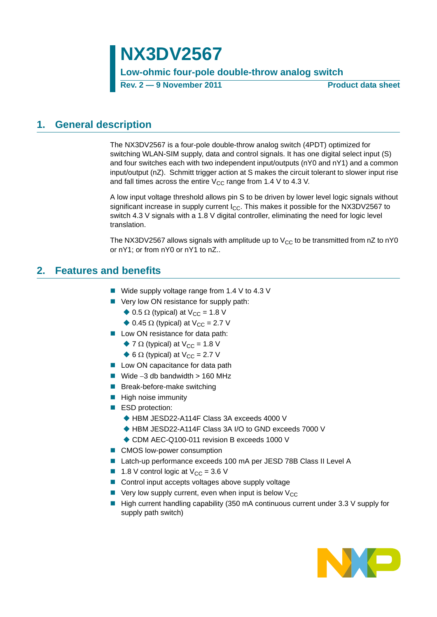# **NX3DV2567**

**Low-ohmic four-pole double-throw analog switch**

**Rev. 2 — 9 November 2011 Product data sheet**

### <span id="page-0-0"></span>**1. General description**

The NX3DV2567 is a four-pole double-throw analog switch (4PDT) optimized for switching WLAN-SIM supply, data and control signals. It has one digital select input (S) and four switches each with two independent input/outputs (nY0 and nY1) and a common input/output (nZ). Schmitt trigger action at S makes the circuit tolerant to slower input rise and fall times across the entire  $V_{CC}$  range from 1.4 V to 4.3 V.

A low input voltage threshold allows pin S to be driven by lower level logic signals without significant increase in supply current  $I_{CC}$ . This makes it possible for the NX3DV2567 to switch 4.3 V signals with a 1.8 V digital controller, eliminating the need for logic level translation.

The NX3DV2567 allows signals with amplitude up to  $V_{CC}$  to be transmitted from nZ to nY0 or nY1; or from nY0 or nY1 to nZ..

# <span id="page-0-1"></span>**2. Features and benefits**

- Wide supply voltage range from 1.4 V to 4.3 V
- Very low ON resistance for supply path:
	- $\triangle$  0.5  $\Omega$  (typical) at V<sub>CC</sub> = 1.8 V
	- $\triangle$  0.45  $\Omega$  (typical) at V<sub>CC</sub> = 2.7 V
- Low ON resistance for data path:
	- $\blacklozenge$  7  $\Omega$  (typical) at V<sub>CC</sub> = 1.8 V
	- $\triangle$  6  $\Omega$  (typical) at V<sub>CC</sub> = 2.7 V
- **Low ON capacitance for data path**
- Wide  $-3$  db bandwidth  $> 160$  MHz
- Break-before-make switching
- $\blacksquare$  High noise immunity
- ESD protection:
	- ◆ HBM JESD22-A114F Class 3A exceeds 4000 V
	- ◆ HBM JESD22-A114F Class 3A I/O to GND exceeds 7000 V
	- ◆ CDM AEC-Q100-011 revision B exceeds 1000 V
- CMOS low-power consumption
- Latch-up performance exceeds 100 mA per JESD 78B Class II Level A
- **1.8** V control logic at  $V_{CC} = 3.6$  V
- Control input accepts voltages above supply voltage
- $\blacksquare$  Very low supply current, even when input is below  $V_{CC}$
- $\blacksquare$  High current handling capability (350 mA continuous current under 3.3 V supply for supply path switch)

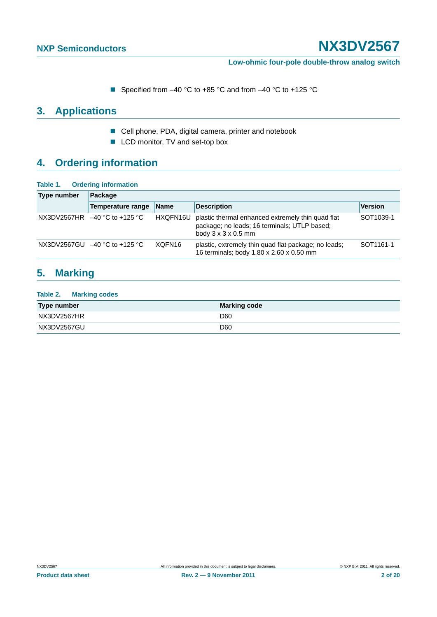**Low-ohmic four-pole double-throw analog switch**

Specified from  $-40$  °C to  $+85$  °C and from  $-40$  °C to  $+125$  °C

# <span id="page-1-0"></span>**3. Applications**

- Cell phone, PDA, digital camera, printer and notebook
- LCD monitor, TV and set-top box

# <span id="page-1-1"></span>**4. Ordering information**

| Table 1. | <b>Ordering information</b> |  |
|----------|-----------------------------|--|
|          |                             |  |

| <b>Type number</b> | Package                         |             |                                                                                                                                      |                       |  |  |  |  |
|--------------------|---------------------------------|-------------|--------------------------------------------------------------------------------------------------------------------------------------|-----------------------|--|--|--|--|
|                    | <b>Temperature range</b>        | <b>Name</b> | <b>Description</b>                                                                                                                   | <b>Version</b>        |  |  |  |  |
| NX3DV2567HR        | $-40$ °C to +125 °C             | HXQFN16U    | plastic thermal enhanced extremely thin quad flat<br>package; no leads; 16 terminals; UTLP based;<br>body $3 \times 3 \times 0.5$ mm | SOT1039-1             |  |  |  |  |
|                    | NX3DV2567GU $-40$ °C to +125 °C | XQFN16      | plastic, extremely thin quad flat package; no leads;<br>16 terminals; body 1.80 x 2.60 x 0.50 mm                                     | SOT <sub>1161-1</sub> |  |  |  |  |

### <span id="page-1-2"></span>**5. Marking**

| Table 2. Marking codes |                     |
|------------------------|---------------------|
| Type number            | <b>Marking code</b> |
| NX3DV2567HR            | D <sub>60</sub>     |
| NX3DV2567GU            | D <sub>60</sub>     |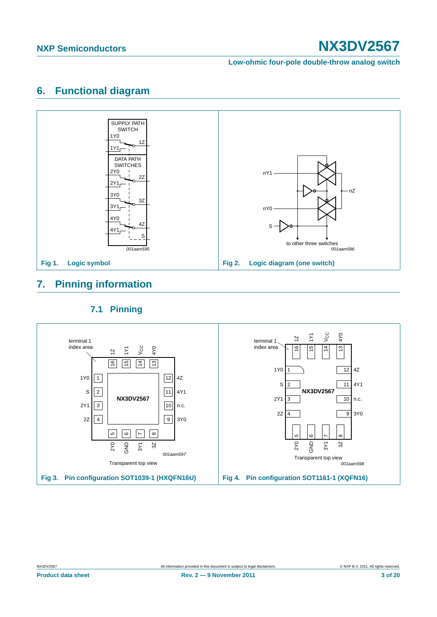**Low-ohmic four-pole double-throw analog switch**

# <span id="page-2-0"></span>**6. Functional diagram**



# <span id="page-2-1"></span>**7. Pinning information**

### **7.1 Pinning**

<span id="page-2-2"></span>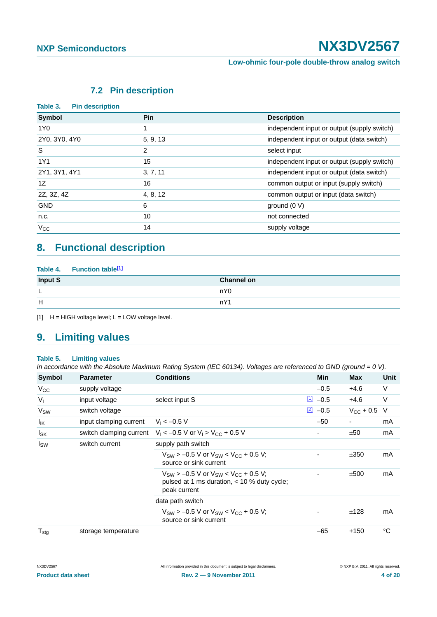**Low-ohmic four-pole double-throw analog switch**

### **7.2 Pin description**

<span id="page-3-1"></span>

| Table 3.<br><b>Pin description</b> |          |                                             |
|------------------------------------|----------|---------------------------------------------|
| Symbol                             | Pin      | <b>Description</b>                          |
| 1Y0                                | 1        | independent input or output (supply switch) |
| 2Y0, 3Y0, 4Y0                      | 5, 9, 13 | independent input or output (data switch)   |
| S                                  | 2        | select input                                |
| 1Y1                                | 15       | independent input or output (supply switch) |
| 2Y1, 3Y1, 4Y1                      | 3, 7, 11 | independent input or output (data switch)   |
| 1Z                                 | 16       | common output or input (supply switch)      |
| 2Z, 3Z, 4Z                         | 4, 8, 12 | common output or input (data switch)        |
| <b>GND</b>                         | 6        | ground $(0 V)$                              |
| n.c.                               | 10       | not connected                               |
| $V_{\rm CC}$                       | 14       | supply voltage                              |

# <span id="page-3-2"></span>**8. Functional description**

| Table 4. Function table <sup>[1]</sup> |                   |
|----------------------------------------|-------------------|
| Input S                                | <b>Channel on</b> |
|                                        | nY0               |
| H                                      | nY1               |

<span id="page-3-0"></span> $[1]$  H = HIGH voltage level; L = LOW voltage level.

# <span id="page-3-3"></span>**9. Limiting values**

#### **Table 5. Limiting values**

*In accordance with the Absolute Maximum Rating System (IEC 60134). Voltages are referenced to GND (ground = 0 V).* 

| Symbol              | <b>Parameter</b>        | <b>Conditions</b>                                                                                                | <b>Min</b>            | <b>Max</b>       | Unit        |
|---------------------|-------------------------|------------------------------------------------------------------------------------------------------------------|-----------------------|------------------|-------------|
| $V_{\rm CC}$        | supply voltage          |                                                                                                                  | $-0.5$                | $+4.6$           | $\vee$      |
| $V_{I}$             | input voltage           | select input S                                                                                                   | $\underline{11} -0.5$ | $+4.6$           | $\vee$      |
| V <sub>SW</sub>     | switch voltage          |                                                                                                                  | $\boxed{2}$ -0.5      | $V_{CC}$ + 0.5 V |             |
| $I_{IK}$            | input clamping current  | $V_1 < -0.5 V$                                                                                                   | $-50$                 | -                | mA          |
| $I_{SK}$            | switch clamping current | $V_1 < -0.5$ V or $V_1 > V_{CC} + 0.5$ V                                                                         |                       | ±50              | mA          |
| $I_{SW}$            | switch current          | supply path switch                                                                                               |                       |                  |             |
|                     |                         | $V_{SW}$ > -0.5 V or $V_{SW}$ < $V_{CC}$ + 0.5 V;<br>source or sink current                                      |                       | ±350             | mA          |
|                     |                         | $V_{SW}$ > -0.5 V or $V_{SW}$ < $V_{CC}$ + 0.5 V;<br>pulsed at 1 ms duration, < 10 % duty cycle;<br>peak current |                       | ±500             | mA          |
|                     |                         | data path switch                                                                                                 |                       |                  |             |
|                     |                         | $V_{SW}$ > -0.5 V or $V_{SW}$ < $V_{CC}$ + 0.5 V;<br>source or sink current                                      |                       | ±128             | mA          |
| ${\sf T}_{\sf stg}$ | storage temperature     |                                                                                                                  | $-65$                 | $+150$           | $^{\circ}C$ |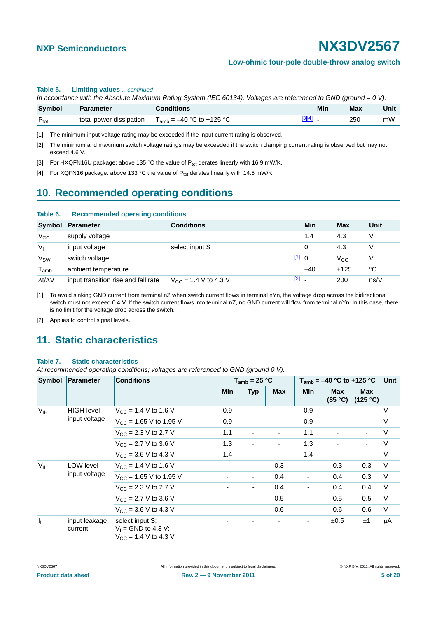#### **Table 5. Limiting values** *…continued*

*In accordance with the Absolute Maximum Rating System (IEC 60134). Voltages are referenced to GND (ground = 0 V).*

| <b>Symbol</b> | <b>Parameter</b>        | Conditions                    | Min    | <b>Max</b> | Unit |
|---------------|-------------------------|-------------------------------|--------|------------|------|
| $P_{\rm tot}$ | total power dissipation | $T_{amb} = -40$ °C to +125 °C | [3][4] | 250        | mW   |

<span id="page-4-0"></span>[1] The minimum input voltage rating may be exceeded if the input current rating is observed.

<span id="page-4-1"></span>[2] The minimum and maximum switch voltage ratings may be exceeded if the switch clamping current rating is observed but may not exceed 4.6 V.

<span id="page-4-2"></span>[3] For HXQFN16U package: above 135 °C the value of  $P_{tot}$  derates linearly with 16.9 mW/K.

<span id="page-4-3"></span>[4] For XQFN16 package: above 133 °C the value of  $P_{tot}$  derates linearly with 14.5 mW/K.

# <span id="page-4-6"></span>**10. Recommended operating conditions**

| Table 6.                    | <b>Recommended operating conditions</b> |                           |               |              |      |  |  |
|-----------------------------|-----------------------------------------|---------------------------|---------------|--------------|------|--|--|
| Symbol                      | <b>Parameter</b>                        | <b>Conditions</b>         | Min           | Max          | Unit |  |  |
| $V_{\rm CC}$                | supply voltage                          |                           | 1.4           | 4.3          | v    |  |  |
| $V_{1}$                     | input voltage                           | select input S            | 0             | 4.3          | v    |  |  |
| V <sub>SW</sub>             | switch voltage                          |                           | 110           | $V_{\rm CC}$ | V    |  |  |
| $\mathsf{T}_{\mathsf{amb}}$ | ambient temperature                     |                           | $-40$         | $+125$       | °C   |  |  |
| $\Delta t/\Delta V$         | input transition rise and fall rate     | $V_{CC}$ = 1.4 V to 4.3 V | $\boxed{2}$ - | 200          | ns/V |  |  |

<span id="page-4-4"></span>[1] To avoid sinking GND current from terminal nZ when switch current flows in terminal nYn, the voltage drop across the bidirectional switch must not exceed 0.4 V. If the switch current flows into terminal nZ, no GND current will flow from terminal nYn. In this case, there is no limit for the voltage drop across the switch.

<span id="page-4-5"></span>[2] Applies to control signal levels.

### <span id="page-4-7"></span>**11. Static characteristics**

#### **Table 7. Static characteristics**

*At recommended operating conditions; voltages are referenced to GND (ground 0 V).*

| Symbol                    | Parameter                  | <b>Conditions</b>                                                     |     | $T_{amb}$ = 25 °C        |            | $T_{amb}$ = -40 °C to +125 °C | Unit                  |                          |        |
|---------------------------|----------------------------|-----------------------------------------------------------------------|-----|--------------------------|------------|-------------------------------|-----------------------|--------------------------|--------|
|                           |                            |                                                                       | Min | <b>Typ</b>               | <b>Max</b> | <b>Min</b>                    | <b>Max</b><br>(85 °C) | <b>Max</b><br>(125 °C)   |        |
| V <sub>IH</sub>           | <b>HIGH-level</b>          | $V_{\text{CC}} = 1.4 \text{ V}$ to 1.6 V                              | 0.9 | $\blacksquare$           | ٠          | 0.9                           |                       |                          | V      |
|                           | input voltage              | $V_{CC}$ = 1.65 V to 1.95 V                                           | 0.9 | $\overline{\phantom{a}}$ |            | 0.9                           |                       | $\blacksquare$           | $\vee$ |
|                           |                            | $V_{CC}$ = 2.3 V to 2.7 V                                             | 1.1 | $\overline{\phantom{a}}$ |            | 1.1                           |                       | $\overline{\phantom{a}}$ | $\vee$ |
|                           |                            | $V_{CC}$ = 2.7 V to 3.6 V                                             | 1.3 | $\overline{\phantom{a}}$ |            | 1.3                           |                       | $\overline{\phantom{a}}$ | V      |
|                           |                            | $V_{CC}$ = 3.6 V to 4.3 V                                             | 1.4 | $\overline{\phantom{a}}$ |            | 1.4                           |                       | $\overline{\phantom{a}}$ | $\vee$ |
| $V_{IL}$                  | LOW-level<br>input voltage | $V_{CC}$ = 1.4 V to 1.6 V                                             |     | $\overline{\phantom{a}}$ | 0.3        |                               | 0.3                   | 0.3                      | V      |
|                           |                            | $V_{CC}$ = 1.65 V to 1.95 V                                           |     | $\overline{\phantom{a}}$ | 0.4        |                               | 0.4                   | 0.3                      | $\vee$ |
|                           |                            | $V_{CC}$ = 2.3 V to 2.7 V                                             |     | $\blacksquare$           | 0.4        |                               | 0.4                   | 0.4                      | $\vee$ |
|                           |                            | $V_{CC}$ = 2.7 V to 3.6 V                                             |     | $\overline{\phantom{a}}$ | 0.5        |                               | 0.5                   | 0.5                      | $\vee$ |
|                           |                            | $V_{CC}$ = 3.6 V to 4.3 V                                             | ٠   | $\blacksquare$           | 0.6        |                               | 0.6                   | 0.6                      | $\vee$ |
| $\mathbf{I}_{\mathbf{I}}$ | input leakage<br>current   | select input S:<br>$V_1 =$ GND to 4.3 V;<br>$V_{CC}$ = 1.4 V to 4.3 V |     | -                        |            |                               | ±0.5                  | ±1                       | μA     |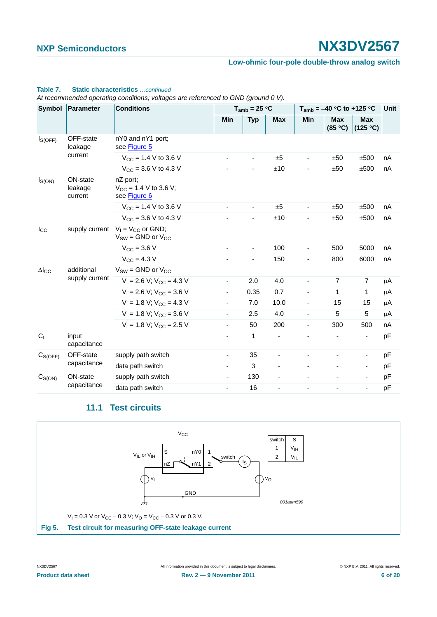#### **Low-ohmic four-pole double-throw analog switch**

#### **Table 7. Static characteristics** *…continued*

*At recommended operating conditions; voltages are referenced to GND (ground 0 V).*

| Symbol                 | Parameter                      | <b>Conditions</b>                                                   | $T_{amb}$ = 25 °C        |                          |                          | $T_{amb}$ = -40 °C to +125 °C |                       |                          | <b>Unit</b> |
|------------------------|--------------------------------|---------------------------------------------------------------------|--------------------------|--------------------------|--------------------------|-------------------------------|-----------------------|--------------------------|-------------|
|                        |                                |                                                                     | Min                      | <b>Typ</b>               | <b>Max</b>               | <b>Min</b>                    | <b>Max</b><br>(85 °C) | <b>Max</b><br>(125 °C)   |             |
| $I_{S(OFF)}$           | OFF-state<br>leakage           | nY0 and nY1 port;<br>see Figure 5                                   |                          |                          |                          |                               |                       |                          |             |
|                        | current                        | $V_{CC}$ = 1.4 V to 3.6 V                                           | $\blacksquare$           |                          | ±5                       |                               | ±50                   | ±500                     | nA          |
|                        |                                | $V_{CC}$ = 3.6 V to 4.3 V                                           |                          | ä,                       | ±10                      |                               | ±50                   | ±500                     | nA          |
| $I_{S(ON)}$            | ON-state<br>leakage<br>current | nZ port;<br>$V_{CC}$ = 1.4 V to 3.6 V;<br>see Figure 6              |                          |                          |                          |                               |                       |                          |             |
|                        |                                | $V_{CC}$ = 1.4 V to 3.6 V                                           | $\overline{\phantom{a}}$ | $\overline{\phantom{a}}$ | ±5                       |                               | ±50                   | ±500                     | nA          |
|                        |                                | $V_{CC}$ = 3.6 V to 4.3 V                                           |                          |                          | ±10                      |                               | ±50                   | ±500                     | nA          |
| $I_{\rm CC}$           |                                | supply current $V_1 = V_{CC}$ or GND;<br>$V_{SW}$ = GND or $V_{CC}$ |                          |                          |                          |                               |                       |                          |             |
|                        |                                | $V_{CC}$ = 3.6 V                                                    | $\overline{\phantom{a}}$ | $\blacksquare$           | 100                      | ä,                            | 500                   | 5000                     | nA          |
|                        |                                | $V_{CC} = 4.3 V$                                                    | $\blacksquare$           | $\overline{\phantom{a}}$ | 150                      | $\blacksquare$                | 800                   | 6000                     | nA          |
| $\Delta$ <sub>cc</sub> | additional                     | $V_{SW} =$ GND or $V_{CC}$                                          |                          |                          |                          |                               |                       |                          |             |
|                        | supply current                 | $V_1 = 2.6 V$ ; $V_{CC} = 4.3 V$                                    | $\overline{\phantom{a}}$ | 2.0                      | 4.0                      |                               | $\overline{7}$        | $\overline{7}$           | μA          |
|                        |                                | $V_1 = 2.6$ V; $V_{CC} = 3.6$ V                                     | $\overline{\phantom{a}}$ | 0.35                     | 0.7                      |                               | 1                     | 1                        | μA          |
|                        |                                | $V_1 = 1.8 V$ ; $V_{CC} = 4.3 V$                                    | ä,                       | 7.0                      | 10.0                     | ä,                            | 15                    | 15                       | μA          |
|                        |                                | $V_1 = 1.8$ V; $V_{CC} = 3.6$ V                                     | $\overline{\phantom{a}}$ | 2.5                      | 4.0                      |                               | 5                     | $\overline{5}$           | μA          |
|                        |                                | $V_1 = 1.8 V$ ; $V_{CC} = 2.5 V$                                    | $\overline{\phantom{a}}$ | 50                       | 200                      | $\blacksquare$                | 300                   | 500                      | nA          |
| C <sub>1</sub>         | input<br>capacitance           |                                                                     | $\blacksquare$           | 1                        | $\overline{\phantom{m}}$ | $\overline{\phantom{m}}$      |                       | $\overline{\phantom{a}}$ | pF          |
| $C_{S(OFF)}$           | OFF-state                      | supply path switch                                                  | $\overline{\phantom{a}}$ | 35                       | ä,                       |                               |                       | $\overline{\phantom{0}}$ | pF          |
|                        | capacitance                    | data path switch                                                    | $\overline{\phantom{a}}$ | 3                        | $\overline{\phantom{0}}$ |                               |                       | $\overline{\phantom{a}}$ | pF          |
| $C_{S(ON)}$            | ON-state                       | supply path switch                                                  | ٠                        | 130                      |                          |                               |                       |                          | pF          |
|                        | capacitance                    | data path switch                                                    | $\blacksquare$           | 16                       |                          |                               |                       |                          | pF          |

### **11.1 Test circuits**

<span id="page-5-1"></span><span id="page-5-0"></span>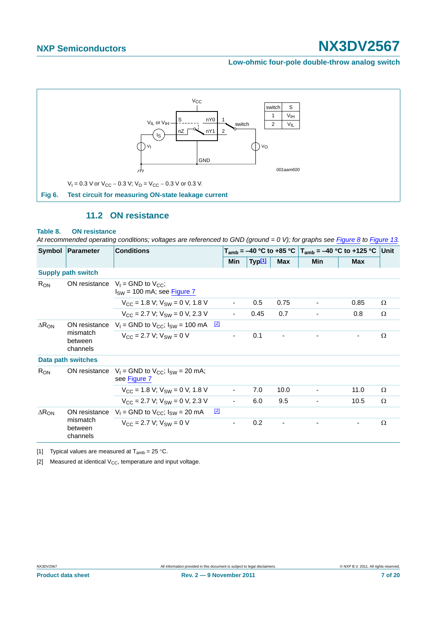**Low-ohmic four-pole double-throw analog switch**



### **11.2 ON resistance**

#### <span id="page-6-3"></span><span id="page-6-0"></span>**Table 8. ON resistance**

*At recommended operating conditions; voltages are referenced to GND (ground = 0 V); for graphs see [Figure 8](#page-7-0) to [Figure 13.](#page-8-0)*

|                 | Symbol   Parameter                               | <b>Conditions</b>                                                           |             |                          | T <sub>amb</sub> = –40 °C to +85 °C   T <sub>amb</sub> = –40 °C to +125 °C  Unit |                          |            |            |   |
|-----------------|--------------------------------------------------|-----------------------------------------------------------------------------|-------------|--------------------------|----------------------------------------------------------------------------------|--------------------------|------------|------------|---|
|                 |                                                  |                                                                             |             | Min                      | Typ <sup>[1]</sup>                                                               | <b>Max</b>               | <b>Min</b> | <b>Max</b> |   |
|                 | <b>Supply path switch</b>                        |                                                                             |             |                          |                                                                                  |                          |            |            |   |
| $R_{ON}$        |                                                  | ON resistance $V_1 = GND$ to $V_{CC}$ ;<br>$I_{SW}$ = 100 mA; see Figure 7  |             |                          |                                                                                  |                          |            |            |   |
|                 |                                                  | $V_{\text{CC}} = 1.8 \text{ V}; V_{\text{SW}} = 0 \text{ V}, 1.8 \text{ V}$ |             |                          | 0.5                                                                              | 0.75                     |            | 0.85       | Ω |
|                 |                                                  | $V_{CC}$ = 2.7 V; $V_{SW}$ = 0 V, 2.3 V                                     |             | $\overline{\phantom{a}}$ | 0.45                                                                             | 0.7                      |            | 0.8        | Ω |
| $\Delta R_{ON}$ | ON resistance<br>mismatch<br>between<br>channels | $V_1$ = GND to $V_{CC}$ ; $I_{SW}$ = 100 mA $\frac{[2]}{[2]}$               |             |                          |                                                                                  |                          |            |            |   |
|                 |                                                  | $V_{CC}$ = 2.7 V; $V_{SW}$ = 0 V                                            |             | $\blacksquare$           | 0.1                                                                              | $\overline{\phantom{a}}$ |            | ٠          | Ω |
|                 | <b>Data path switches</b>                        |                                                                             |             |                          |                                                                                  |                          |            |            |   |
| $R_{ON}$        | ON resistance                                    | $V_1$ = GND to $V_{CC}$ ; $I_{SW}$ = 20 mA;<br>see Figure 7                 |             |                          |                                                                                  |                          |            |            |   |
|                 |                                                  | $V_{CC}$ = 1.8 V; $V_{SW}$ = 0 V, 1.8 V                                     |             | $\overline{\phantom{a}}$ | 7.0                                                                              | 10.0                     |            | 11.0       | Ω |
|                 |                                                  | $V_{CC}$ = 2.7 V; $V_{SW}$ = 0 V, 2.3 V                                     |             | $\overline{\phantom{a}}$ | 6.0                                                                              | 9.5                      |            | 10.5       | Ω |
| $\Delta R_{ON}$ | ON resistance                                    | $V_1$ = GND to $V_{CC}$ ; $I_{SW}$ = 20 mA                                  | $\boxed{2}$ |                          |                                                                                  |                          |            |            |   |
|                 | mismatch<br>between<br>channels                  | $V_{CC} = 2.7 V: V_{SW} = 0 V$                                              |             | ٠                        | 0.2                                                                              | $\overline{\phantom{a}}$ |            | ۰          | Ω |

<span id="page-6-1"></span>[1] Typical values are measured at  $T_{amb} = 25 \degree C$ .

<span id="page-6-2"></span>[2] Measured at identical  $V_{CC}$ , temperature and input voltage.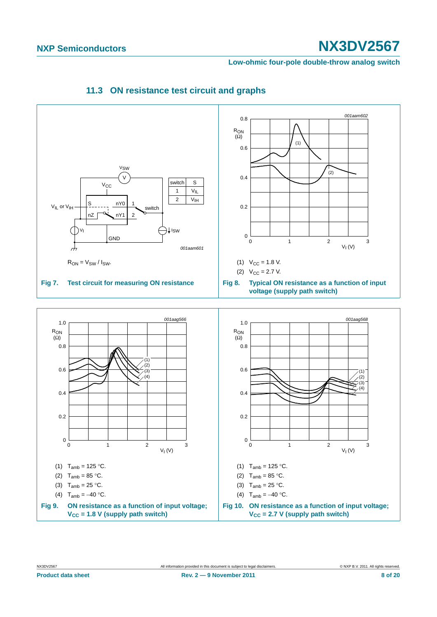<span id="page-7-0"></span>**Low-ohmic four-pole double-throw analog switch**

<span id="page-7-2"></span><span id="page-7-1"></span>

### **11.3 ON resistance test circuit and graphs**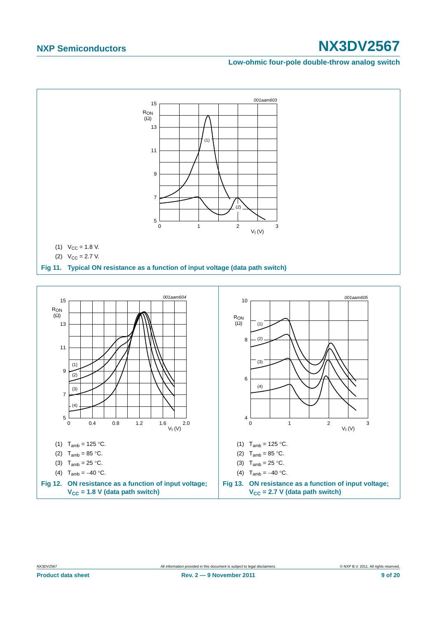**Low-ohmic four-pole double-throw analog switch**



<span id="page-8-0"></span>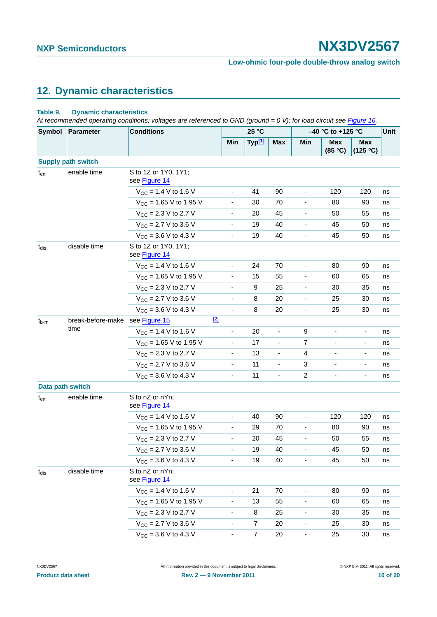# <span id="page-9-0"></span>**12. Dynamic characteristics**

#### **Table 9. Dynamic characteristics**

At recommended operating conditions; voltages are referenced to GND (ground = 0 V); for load circuit see [Figure 16.](#page-11-0)

| Symbol           | <b>Parameter</b>          | <b>Conditions</b>                     |                              | 25 °C              |                          |                              | -40 °C to +125 °C        |                          |    |
|------------------|---------------------------|---------------------------------------|------------------------------|--------------------|--------------------------|------------------------------|--------------------------|--------------------------|----|
|                  |                           |                                       | Min                          | Typ <sup>[1]</sup> | <b>Max</b>               | Min                          | <b>Max</b><br>(85 °C)    | Max<br>(125 °C)          |    |
|                  | <b>Supply path switch</b> |                                       |                              |                    |                          |                              |                          |                          |    |
| $t_{en}$         | enable time               | S to 1Z or 1Y0, 1Y1;<br>see Figure 14 |                              |                    |                          |                              |                          |                          |    |
|                  |                           | $V_{CC}$ = 1.4 V to 1.6 V             | $\overline{\phantom{0}}$     | 41                 | 90                       | $\overline{\phantom{0}}$     | 120                      | 120                      | ns |
|                  |                           | $V_{CC}$ = 1.65 V to 1.95 V           | $\overline{\phantom{0}}$     | 30                 | 70                       | $\frac{1}{2}$                | 80                       | 90                       | ns |
|                  |                           | $V_{CC}$ = 2.3 V to 2.7 V             | $\overline{\phantom{a}}$     | 20                 | 45                       | $\overline{\phantom{a}}$     | 50                       | 55                       | ns |
|                  |                           | $V_{CC}$ = 2.7 V to 3.6 V             | $\overline{\phantom{a}}$     | 19                 | 40                       | ä,                           | 45                       | 50                       | ns |
|                  |                           | $V_{CC}$ = 3.6 V to 4.3 V             | $\overline{\phantom{0}}$     | 19                 | 40                       | $\blacksquare$               | 45                       | 50                       | ns |
| $t_{dis}$        | disable time              | S to 1Z or 1Y0, 1Y1;<br>see Figure 14 |                              |                    |                          |                              |                          |                          |    |
|                  |                           | $V_{CC}$ = 1.4 V to 1.6 V             | $\overline{\phantom{0}}$     | 24                 | 70                       | $\overline{\phantom{0}}$     | 80                       | 90                       | ns |
|                  |                           | $V_{CC}$ = 1.65 V to 1.95 V           | $\overline{\phantom{a}}$     | 15                 | 55                       | $\overline{\phantom{a}}$     | 60                       | 65                       | ns |
|                  |                           | $V_{CC}$ = 2.3 V to 2.7 V             |                              | 9                  | 25                       | $\overline{\phantom{a}}$     | 30                       | 35                       | ns |
|                  |                           | $V_{CC}$ = 2.7 V to 3.6 V             | $\overline{\phantom{a}}$     | 8                  | 20                       | $\overline{\phantom{a}}$     | 25                       | 30                       | ns |
|                  |                           | $V_{CC}$ = 3.6 V to 4.3 V             | $\blacksquare$               | 8                  | 20                       | $\overline{\phantom{a}}$     | 25                       | 30                       | ns |
| $t_{b-m}$        | break-before-make<br>time | $[2]$<br>see Figure 15                |                              |                    |                          |                              |                          |                          |    |
|                  |                           | $V_{CC}$ = 1.4 V to 1.6 V             | $\overline{\phantom{0}}$     | 20                 |                          | 9                            |                          | $\overline{\phantom{a}}$ | ns |
|                  |                           | $V_{CC}$ = 1.65 V to 1.95 V           | $\blacksquare$               | 17                 | $\overline{\phantom{a}}$ | 7                            | $\overline{\phantom{0}}$ | $\overline{\phantom{a}}$ | ns |
|                  |                           | $V_{CC}$ = 2.3 V to 2.7 V             | $\overline{\phantom{a}}$     | 13                 |                          | 4                            | $\overline{\phantom{a}}$ | $\overline{\phantom{a}}$ | ns |
|                  |                           | $V_{CC}$ = 2.7 V to 3.6 V             | $\overline{\phantom{a}}$     | 11                 | -                        | 3                            | ä,                       | $\overline{\phantom{a}}$ | ns |
|                  |                           | $V_{CC}$ = 3.6 V to 4.3 V             | $\overline{\phantom{a}}$     | 11                 | $\overline{\phantom{0}}$ | $\overline{c}$               | L,                       | ÷,                       | ns |
| Data path switch |                           |                                       |                              |                    |                          |                              |                          |                          |    |
| $t_{en}$         | enable time               | S to nZ or nYn;<br>see Figure 14      |                              |                    |                          |                              |                          |                          |    |
|                  |                           | $V_{CC}$ = 1.4 V to 1.6 V             | ۰                            | 40                 | 90                       | $\blacksquare$               | 120                      | 120                      | ns |
|                  |                           | $V_{\text{CC}}$ = 1.65 V to 1.95 V    |                              | 29                 | 70                       | $\qquad \qquad \blacksquare$ | 80                       | 90                       | ns |
|                  |                           | $V_{CC}$ = 2.3 V to 2.7 V             | $\overline{\phantom{a}}$     | 20                 | 45                       | $\overline{\phantom{a}}$     | 50                       | 55                       | ns |
|                  |                           | $V_{CC}$ = 2.7 V to 3.6 V             | $\blacksquare$               | 19                 | 40                       | ä,                           | 45                       | 50                       | ns |
|                  |                           | $V_{CC}$ = 3.6 V to 4.3 V             |                              | 19                 | 40                       |                              | 45                       | 50                       | ns |
| $t_{dis}$        | disable time              | S to nZ or nYn;<br>see Figure 14      |                              |                    |                          |                              |                          |                          |    |
|                  |                           | $V_{CC}$ = 1.4 V to 1.6 V             | ۰                            | 21                 | 70                       | $\qquad \qquad \blacksquare$ | 80                       | 90                       | ns |
|                  |                           | $V_{CC}$ = 1.65 V to 1.95 V           | $\overline{\phantom{0}}$     | 13                 | 55                       | $\qquad \qquad \blacksquare$ | 60                       | 65                       | ns |
|                  |                           | $V_{CC}$ = 2.3 V to 2.7 V             | $\overline{\phantom{0}}$     | 8                  | 25                       | $\overline{\phantom{0}}$     | 30                       | 35                       | ns |
|                  |                           | $V_{CC}$ = 2.7 V to 3.6 V             | $\qquad \qquad \blacksquare$ | 7                  | 20                       | $\blacksquare$               | 25                       | 30                       | ns |
|                  |                           | $V_{CC}$ = 3.6 V to 4.3 V             | $\blacksquare$               | $\overline{7}$     | 20                       | $\overline{\phantom{a}}$     | 25                       | 30                       | ns |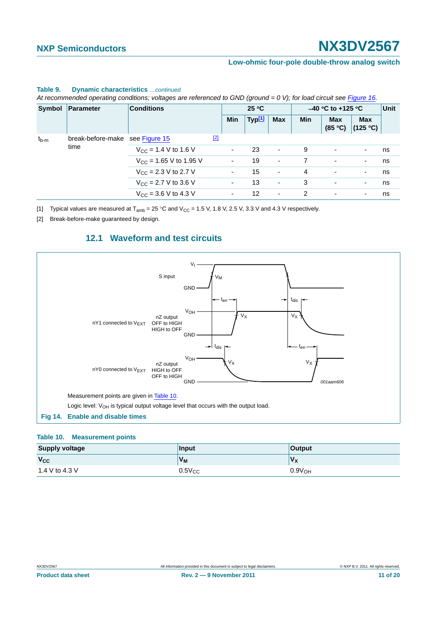#### **Low-ohmic four-pole double-throw analog switch**

|           | Symbol   Parameter                      | <b>Conditions</b>                | 25 °C |                          | $-40$ °C to +125 °C |                          |            | Unit                     |                          |    |
|-----------|-----------------------------------------|----------------------------------|-------|--------------------------|---------------------|--------------------------|------------|--------------------------|--------------------------|----|
|           |                                         |                                  |       | Min                      | Typ <sup>[1]</sup>  | <b>Max</b>               | <b>Min</b> | <b>Max</b><br>(85 °C)    | <b>Max</b><br>(125 °C)   |    |
| $t_{b-m}$ | break-before-make see Figure 15<br>time |                                  | $[2]$ |                          |                     |                          |            |                          |                          |    |
|           |                                         | $V_{\text{CC}}$ = 1.4 V to 1.6 V |       | $\sim$                   | 23                  | $\sim$                   | 9          | $\overline{\phantom{a}}$ | $\overline{\phantom{a}}$ | ns |
|           |                                         | $V_{CC}$ = 1.65 V to 1.95 V      |       |                          | 19                  | $\overline{\phantom{a}}$ |            | ٠                        | $\overline{\phantom{a}}$ | ns |
|           |                                         | $V_{\text{CC}}$ = 2.3 V to 2.7 V |       | $\blacksquare$           | 15                  | $\overline{\phantom{a}}$ | 4          | ٠                        | $\overline{\phantom{a}}$ | ns |
|           |                                         | $V_{\text{CC}}$ = 2.7 V to 3.6 V |       | ۰.                       | 13                  | $\overline{\phantom{a}}$ | 3          | ٠                        | ٠                        | ns |
|           |                                         | $V_{CC}$ = 3.6 V to 4.3 V        |       | $\overline{\phantom{a}}$ | 12                  | ٠                        | 2          | ۰                        | $\overline{\phantom{a}}$ | ns |

#### **Table 9. Dynamic characteristics** *…continued*

*At recommended operating conditions; voltages are referenced to GND (ground = 0 V); for load circuit see Figure 16.*

<span id="page-10-0"></span>[1] Typical values are measured at  $T_{amb} = 25 \degree C$  and  $V_{CC} = 1.5$  V, 1.8 V, 2.5 V, 3.3 V and 4.3 V respectively.

<span id="page-10-2"></span>[2] Break-before-make guaranteed by design.

### **12.1 Waveform and test circuits**

<span id="page-10-4"></span>

#### <span id="page-10-3"></span><span id="page-10-1"></span>**Table 10. Measurement points**

| <b>Supply voltage</b> | Input       | <b>Output</b>      |
|-----------------------|-------------|--------------------|
| $V_{\rm CC}$          | $V_{M}$     | $V_{\mathsf{X}}$   |
| 1.4 V to 4.3 V        | $0.5V_{CC}$ | 0.9V <sub>OH</sub> |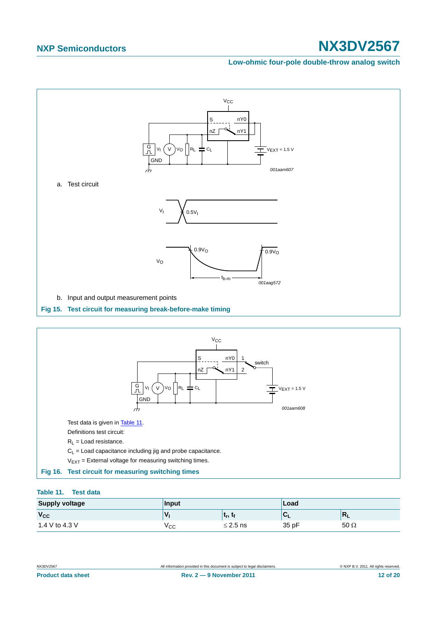#### **Low-ohmic four-pole double-throw analog switch**



#### <span id="page-11-2"></span><span id="page-11-1"></span><span id="page-11-0"></span>**Table 11. Test data**

| <b>Supply voltage</b> | Input |               | Load  |             |  |
|-----------------------|-------|---------------|-------|-------------|--|
| V <sub>cc</sub>       | V     | ∣ւր,ւթ        |       | $R_{L}$     |  |
| 1.4 V to 4.3 V        | ∨сс   | $\leq$ 2.5 ns | 35 pF | $50 \Omega$ |  |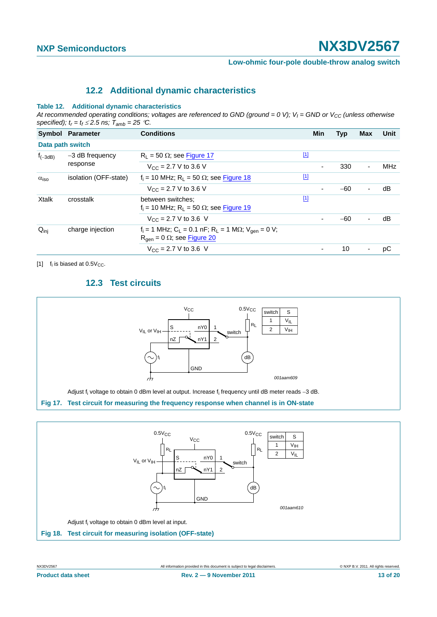**Low-ohmic four-pole double-throw analog switch**

### **12.2 Additional dynamic characteristics**

#### <span id="page-12-3"></span>**Table 12. Additional dynamic characteristics**

At recommended operating conditions; voltages are referenced to GND (ground = 0 V);  $V_I$  = GND or  $V_{CC}$  (unless otherwise specified);  $t_r = t_f \le 2.5$  ns;  $T_{amb} = 25$  °C.

|                    | Symbol Parameter            | <b>Conditions</b>                                                                                                                              |             | <b>Min</b> | <b>Typ</b> | <b>Max</b>               | Unit       |
|--------------------|-----------------------------|------------------------------------------------------------------------------------------------------------------------------------------------|-------------|------------|------------|--------------------------|------------|
| Data path switch   |                             |                                                                                                                                                |             |            |            |                          |            |
| $f_{(-3dB)}$       | -3 dB frequency<br>response | $R_1 = 50 \Omega$ ; see Figure 17                                                                                                              | $\boxed{1}$ |            |            |                          |            |
|                    |                             | $V_{CC}$ = 2.7 V to 3.6 V                                                                                                                      |             | ۰          | 330        | $\blacksquare$           | <b>MHz</b> |
| $\alpha_{\rm iso}$ | isolation (OFF-state)       | $f_i = 10$ MHz; R <sub>1</sub> = 50 $\Omega$ ; see Figure 18                                                                                   | $\boxed{1}$ |            |            |                          |            |
|                    |                             | $V_{\text{CC}} = 2.7 \text{ V}$ to 3.6 V                                                                                                       |             |            | $-60$      | ٠                        | dB         |
| <b>Xtalk</b>       | crosstalk                   | between switches:<br>$f_i = 10$ MHz; R <sub>1</sub> = 50 $\Omega$ ; see Figure 19                                                              | $\boxed{1}$ |            |            |                          |            |
|                    |                             | $V_{CC}$ = 2.7 V to 3.6 V                                                                                                                      |             |            | $-60$      | $\overline{\phantom{a}}$ | dB         |
| $Q_{\text{inj}}$   | charge injection            | $f_i = 1$ MHz; C <sub>L</sub> = 0.1 nF; R <sub>L</sub> = 1 M $\Omega$ ; V <sub>gen</sub> = 0 V;<br>$R_{\text{gen}} = 0 \Omega$ ; see Figure 20 |             |            |            |                          |            |
|                    |                             | $V_{CC}$ = 2.7 V to 3.6 V                                                                                                                      |             |            | 10         | $\overline{\phantom{a}}$ | рC         |

<span id="page-12-4"></span><span id="page-12-1"></span>[1]  $f_i$  is biased at 0.5 $V_{CC}$ .

### **12.3 Test circuits**



<span id="page-12-0"></span>

<span id="page-12-2"></span>**Product data sheet Rev. 2 — 9 November 2011 13 of 20**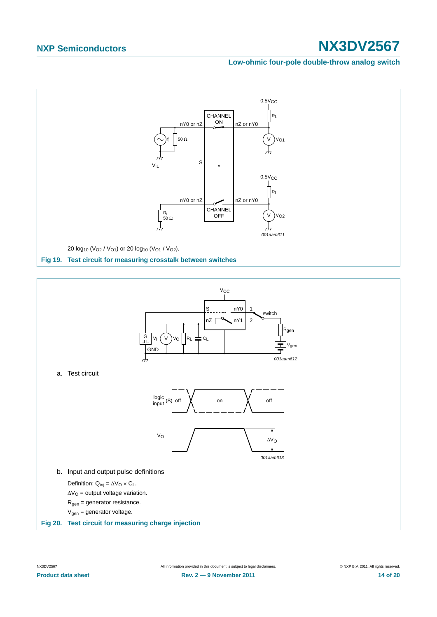**Low-ohmic four-pole double-throw analog switch**

<span id="page-13-1"></span><span id="page-13-0"></span>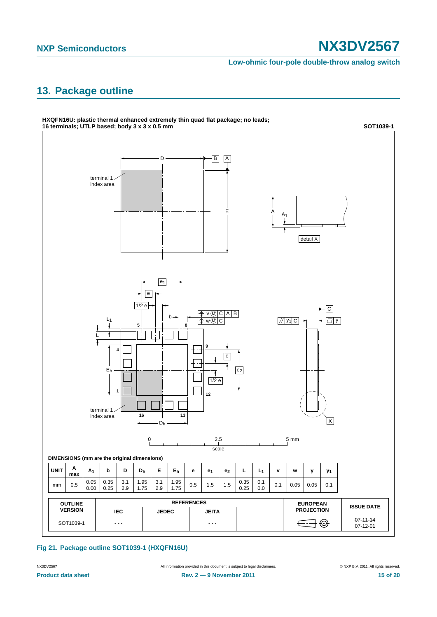**Low-ohmic four-pole double-throw analog switch**

# <span id="page-14-0"></span>**13. Package outline**



**Fig 21. Package outline SOT1039-1 (HXQFN16U)**

NX3DV2567 All information provided in this document is subject to legal disclaimers. © NXP B.V. 2011. All rights reserved.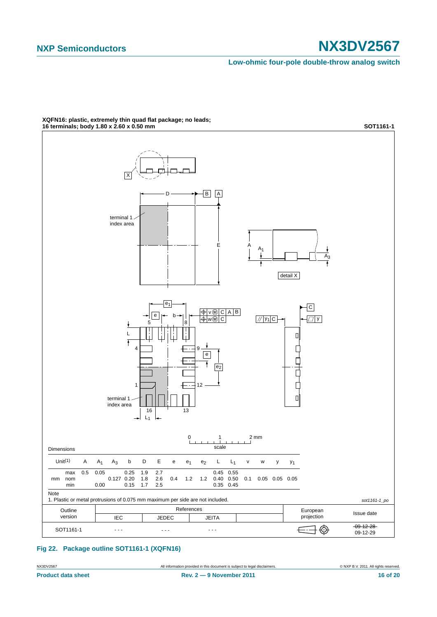**Low-ohmic four-pole double-throw analog switch**



**XQFN16: plastic, extremely thin quad flat package; no leads;**

#### **Fig 22. Package outline SOT1161-1 (XQFN16)**

NX3DV2567 All information provided in this document is subject to legal disclaimers. © NXP B.V. 2011. All rights reserved.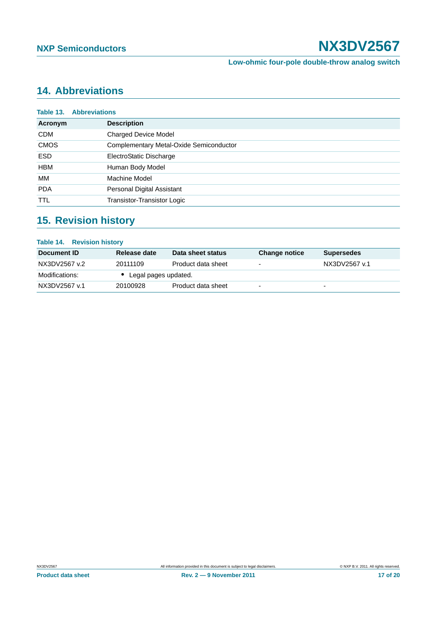# <span id="page-16-0"></span>**14. Abbreviations**

| Table 13.   | <b>Abbreviations</b>                    |
|-------------|-----------------------------------------|
| Acronym     | <b>Description</b>                      |
| <b>CDM</b>  | <b>Charged Device Model</b>             |
| <b>CMOS</b> | Complementary Metal-Oxide Semiconductor |
| <b>ESD</b>  | ElectroStatic Discharge                 |
| <b>HBM</b>  | Human Body Model                        |
| MМ          | Machine Model                           |
| <b>PDA</b>  | Personal Digital Assistant              |
| <b>TTL</b>  | Transistor-Transistor Logic             |

# <span id="page-16-1"></span>**15. Revision history**

### **Table 14. Revision history**

| Document ID    | Release date           | Data sheet status  | <b>Change notice</b>     | <b>Supersedes</b>        |
|----------------|------------------------|--------------------|--------------------------|--------------------------|
| NX3DV2567 v.2  | 20111109               | Product data sheet | $\overline{\phantom{0}}$ | NX3DV2567 v.1            |
| Modifications: | • Legal pages updated. |                    |                          |                          |
| NX3DV2567 v.1  | 20100928               | Product data sheet | $\overline{\phantom{0}}$ | $\overline{\phantom{0}}$ |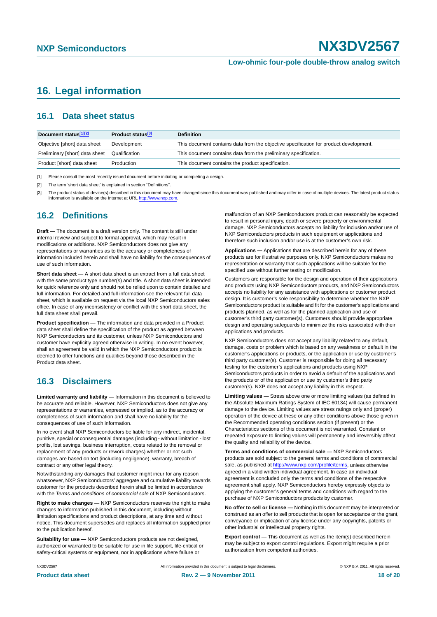# <span id="page-17-0"></span>**16. Legal information**

### <span id="page-17-1"></span>**16.1 Data sheet status**

| Document status[1][2]          | Product status <sup>[3]</sup> | <b>Definition</b>                                                                     |
|--------------------------------|-------------------------------|---------------------------------------------------------------------------------------|
| Objective [short] data sheet   | Development                   | This document contains data from the objective specification for product development. |
| Preliminary [short] data sheet | Qualification                 | This document contains data from the preliminary specification.                       |
| Product [short] data sheet     | Production                    | This document contains the product specification.                                     |

[1] Please consult the most recently issued document before initiating or completing a design.

[2] The term 'short data sheet' is explained in section "Definitions".

[3] The product status of device(s) described in this document may have changed since this document was published and may differ in case of multiple devices. The latest product status<br>information is available on the Intern

#### <span id="page-17-2"></span>**16.2 Definitions**

**Draft —** The document is a draft version only. The content is still under internal review and subject to formal approval, which may result in modifications or additions. NXP Semiconductors does not give any representations or warranties as to the accuracy or completeness of information included herein and shall have no liability for the consequences of use of such information.

**Short data sheet —** A short data sheet is an extract from a full data sheet with the same product type number(s) and title. A short data sheet is intended for quick reference only and should not be relied upon to contain detailed and full information. For detailed and full information see the relevant full data sheet, which is available on request via the local NXP Semiconductors sales office. In case of any inconsistency or conflict with the short data sheet, the full data sheet shall prevail.

**Product specification —** The information and data provided in a Product data sheet shall define the specification of the product as agreed between NXP Semiconductors and its customer, unless NXP Semiconductors and customer have explicitly agreed otherwise in writing. In no event however, shall an agreement be valid in which the NXP Semiconductors product is deemed to offer functions and qualities beyond those described in the Product data sheet.

### <span id="page-17-3"></span>**16.3 Disclaimers**

**Limited warranty and liability —** Information in this document is believed to be accurate and reliable. However, NXP Semiconductors does not give any representations or warranties, expressed or implied, as to the accuracy or completeness of such information and shall have no liability for the consequences of use of such information.

In no event shall NXP Semiconductors be liable for any indirect, incidental, punitive, special or consequential damages (including - without limitation - lost profits, lost savings, business interruption, costs related to the removal or replacement of any products or rework charges) whether or not such damages are based on tort (including negligence), warranty, breach of contract or any other legal theory.

Notwithstanding any damages that customer might incur for any reason whatsoever, NXP Semiconductors' aggregate and cumulative liability towards customer for the products described herein shall be limited in accordance with the *Terms and conditions of commercial sale* of NXP Semiconductors.

**Right to make changes —** NXP Semiconductors reserves the right to make changes to information published in this document, including without limitation specifications and product descriptions, at any time and without notice. This document supersedes and replaces all information supplied prior to the publication hereof.

**Suitability for use —** NXP Semiconductors products are not designed, authorized or warranted to be suitable for use in life support, life-critical or safety-critical systems or equipment, nor in applications where failure or

malfunction of an NXP Semiconductors product can reasonably be expected to result in personal injury, death or severe property or environmental damage. NXP Semiconductors accepts no liability for inclusion and/or use of NXP Semiconductors products in such equipment or applications and therefore such inclusion and/or use is at the customer's own risk.

**Applications —** Applications that are described herein for any of these products are for illustrative purposes only. NXP Semiconductors makes no representation or warranty that such applications will be suitable for the specified use without further testing or modification.

Customers are responsible for the design and operation of their applications and products using NXP Semiconductors products, and NXP Semiconductors accepts no liability for any assistance with applications or customer product design. It is customer's sole responsibility to determine whether the NXP Semiconductors product is suitable and fit for the customer's applications and products planned, as well as for the planned application and use of customer's third party customer(s). Customers should provide appropriate design and operating safeguards to minimize the risks associated with their applications and products.

NXP Semiconductors does not accept any liability related to any default, damage, costs or problem which is based on any weakness or default in the customer's applications or products, or the application or use by customer's third party customer(s). Customer is responsible for doing all necessary testing for the customer's applications and products using NXP Semiconductors products in order to avoid a default of the applications and the products or of the application or use by customer's third party customer(s). NXP does not accept any liability in this respect.

**Limiting values —** Stress above one or more limiting values (as defined in the Absolute Maximum Ratings System of IEC 60134) will cause permanent damage to the device. Limiting values are stress ratings only and (proper) operation of the device at these or any other conditions above those given in the Recommended operating conditions section (if present) or the Characteristics sections of this document is not warranted. Constant or repeated exposure to limiting values will permanently and irreversibly affect the quality and reliability of the device.

**Terms and conditions of commercial sale —** NXP Semiconductors products are sold subject to the general terms and conditions of commercial sale, as published at<http://www.nxp.com/profile/terms>, unless otherwise agreed in a valid written individual agreement. In case an individual agreement is concluded only the terms and conditions of the respective agreement shall apply. NXP Semiconductors hereby expressly objects to applying the customer's general terms and conditions with regard to the purchase of NXP Semiconductors products by customer.

**No offer to sell or license —** Nothing in this document may be interpreted or construed as an offer to sell products that is open for acceptance or the grant, conveyance or implication of any license under any copyrights, patents or other industrial or intellectual property rights.

**Export control —** This document as well as the item(s) described herein may be subject to export control regulations. Export might require a prior authorization from competent authorities.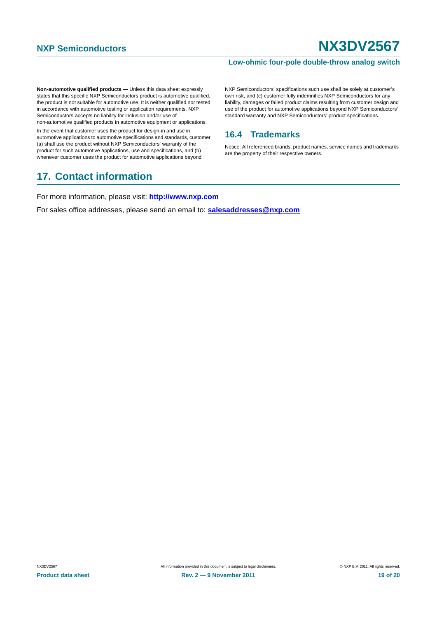#### **Low-ohmic four-pole double-throw analog switch**

**Non-automotive qualified products —** Unless this data sheet expressly states that this specific NXP Semiconductors product is automotive qualified, the product is not suitable for automotive use. It is neither qualified nor tested in accordance with automotive testing or application requirements. NXP Semiconductors accepts no liability for inclusion and/or use of non-automotive qualified products in automotive equipment or applications.

In the event that customer uses the product for design-in and use in automotive applications to automotive specifications and standards, customer (a) shall use the product without NXP Semiconductors' warranty of the product for such automotive applications, use and specifications, and (b) whenever customer uses the product for automotive applications beyond

# <span id="page-18-1"></span>**17. Contact information**

NXP Semiconductors' specifications such use shall be solely at customer's own risk, and (c) customer fully indemnifies NXP Semiconductors for any liability, damages or failed product claims resulting from customer design and use of the product for automotive applications beyond NXP Semiconductors' standard warranty and NXP Semiconductors' product specifications.

### <span id="page-18-0"></span>**16.4 Trademarks**

Notice: All referenced brands, product names, service names and trademarks are the property of their respective owners.

For more information, please visit: **http://www.nxp.com**

For sales office addresses, please send an email to: **salesaddresses@nxp.com**